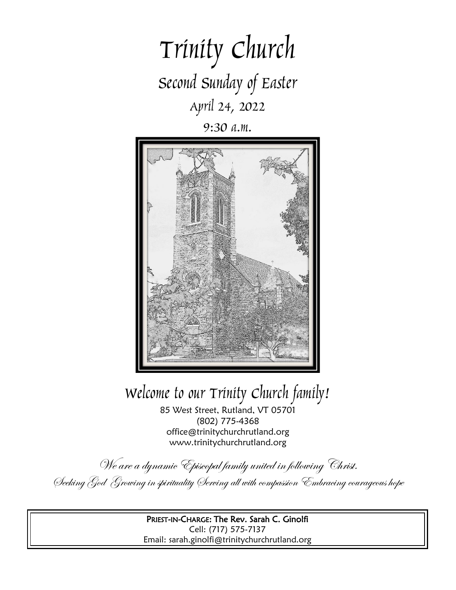# Trinity Church Second Sunday of Easter April 24, 2022

9:30 a.m.



## Welcome to our Trinity Church family!

85 West Street, Rutland, VT 05701 (802) 775-4368 office@trinitychurchrutland.org www.trinitychurchrutland.org

We are a dynamic Episcopal family united in following Christ. Seeking God Growing in spirituality Serving all with compassion Embracing courageous hope

> PRIEST-IN-CHARGE: The Rev. Sarah C. Ginolfi Cell: (717) 575-7137 Email: sarah.ginolfi@trinitychurchrutland.org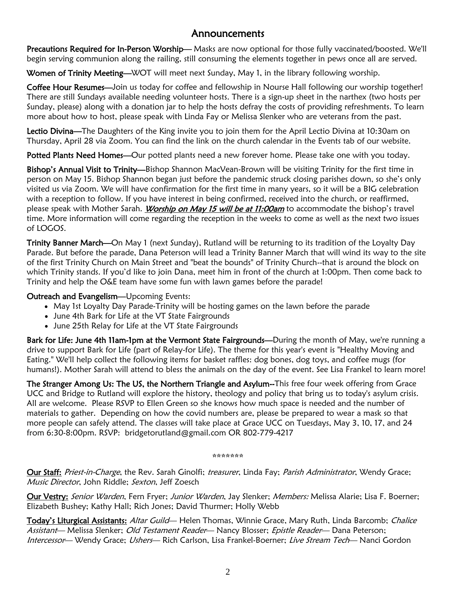### Announcements

Precautions Required for In-Person Worship— Masks are now optional for those fully vaccinated/boosted. We'll begin serving communion along the railing, still consuming the elements together in pews once all are served.

Women of Trinity Meeting—WOT will meet next Sunday, May 1, in the library following worship.

Coffee Hour Resumes—Join us today for coffee and fellowship in Nourse Hall following our worship together! There are still Sundays available needing volunteer hosts. There is a sign-up sheet in the narthex (two hosts per Sunday, please) along with a donation jar to help the hosts defray the costs of providing refreshments. To learn more about how to host, please speak with Linda Fay or Melissa Slenker who are veterans from the past.

Lectio Divina—The Daughters of the King invite you to join them for the April Lectio Divina at 10:30am on Thursday, April 28 via Zoom. You can find the link on the church calendar in the Events tab of our website.

Potted Plants Need Homes-Our potted plants need a new forever home. Please take one with you today.

Bishop's Annual Visit to Trinity—Bishop Shannon MacVean-Brown will be visiting Trinity for the first time in person on May 15. Bishop Shannon began just before the pandemic struck closing parishes down, so she's only visited us via Zoom. We will have confirmation for the first time in many years, so it will be a BIG celebration with a reception to follow. If you have interest in being confirmed, received into the church, or reaffirmed, please speak with Mother Sarah. Worship on May 15 will be at 11:00am to accommodate the bishop's travel time. More information will come regarding the reception in the weeks to come as well as the next two issues of LOGOS.

Trinity Banner March—On May 1 (next Sunday), Rutland will be returning to its tradition of the Loyalty Day Parade. But before the parade, Dana Peterson will lead a Trinity Banner March that will wind its way to the site of the first Trinity Church on Main Street and "beat the bounds" of Trinity Church--that is around the block on which Trinity stands. If you'd like to join Dana, meet him in front of the church at 1:00pm. Then come back to Trinity and help the O&E team have some fun with lawn games before the parade!

### Outreach and Evangelism—Upcoming Events:

- May 1st Loyalty Day Parade-Trinity will be hosting games on the lawn before the parade
- June 4th Bark for Life at the VT State Fairgrounds
- June 25th Relay for Life at the VT State Fairgrounds

Bark for Life: June 4th 11am-1pm at the Vermont State Fairgrounds—During the month of May, we're running a drive to support Bark for Life (part of Relay-for Life). The theme for this year's event is "Healthy Moving and Eating." We'll help collect the following items for basket raffles: dog bones, dog toys, and coffee mugs (for humans!). Mother Sarah will attend to bless the animals on the day of the event. See Lisa Frankel to learn more!

The Stranger Among Us: The US, the Northern Triangle and Asylum--This free four week offering from Grace UCC and Bridge to Rutland will explore the history, theology and policy that bring us to today's asylum crisis. All are welcome. Please RSVP to Ellen Green so she knows how much space is needed and the number of materials to gather. Depending on how the covid numbers are, please be prepared to wear a mask so that more people can safely attend. The classes will take place at Grace UCC on Tuesdays, May 3, 10, 17, and 24 from 6:30-8:00pm. RSVP: bridgetorutland@gmail.com OR 802-779-4217

#### \*\*\*\*\*\*\*

Our Staff: Priest-in-Charge, the Rev. Sarah Ginolfi; treasurer, Linda Fay; Parish Administrator, Wendy Grace; Music Director, John Riddle; Sexton, Jeff Zoesch

Our Vestry: Senior Warden, Fern Fryer; Junior Warden, Jay Slenker; Members: Melissa Alarie; Lisa F. Boerner; Elizabeth Bushey; Kathy Hall; Rich Jones; David Thurmer; Holly Webb

Today's Liturgical Assistants: Altar Guild— Helen Thomas, Winnie Grace, Mary Ruth, Linda Barcomb; Chalice Assistant— Melissa Slenker; Old Testament Reader— Nancy Blosser; Epistle Reader— Dana Peterson; Intercessor— Wendy Grace; Ushers— Rich Carlson, Lisa Frankel-Boerner; Live Stream Tech— Nanci Gordon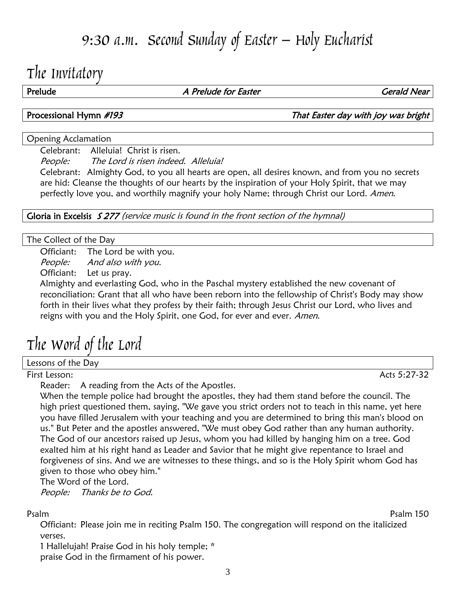## 9:30 a.m. Second Sunday of Easter – Holy Eucharist

## The Invitatory

Prelude **A Prelude for Easter** A **Prelude for Easter** A **Gerald Near** 

Processional Hymn #193 Processional Hymn #193

### Opening Acclamation

Celebrant: Alleluia! Christ is risen.

People: The Lord is risen indeed. Alleluia!

Celebrant: Almighty God, to you all hearts are open, all desires known, and from you no secrets are hid: Cleanse the thoughts of our hearts by the inspiration of your Holy Spirit, that we may perfectly love you, and worthily magnify your holy Name; through Christ our Lord. Amen.

Gloria in Excelsis 5277 (service music is found in the front section of the hymnal)

### The Collect of the Day

Officiant: The Lord be with you.

People: And also with you.

Officiant: Let us pray.

Almighty and everlasting God, who in the Paschal mystery established the new covenant of reconciliation: Grant that all who have been reborn into the fellowship of Christ's Body may show forth in their lives what they profess by their faith; through Jesus Christ our Lord, who lives and reigns with you and the Holy Spirit, one God, for ever and ever. Amen.

## The Word of the Lord

Lessons of the Day

First Lesson: Acts 5:27-32

Reader: A reading from the Acts of the Apostles.

When the temple police had brought the apostles, they had them stand before the council. The high priest questioned them, saying, "We gave you strict orders not to teach in this name, yet here you have filled Jerusalem with your teaching and you are determined to bring this man's blood on us." But Peter and the apostles answered, "We must obey God rather than any human authority. The God of our ancestors raised up Jesus, whom you had killed by hanging him on a tree. God exalted him at his right hand as Leader and Savior that he might give repentance to Israel and forgiveness of sins. And we are witnesses to these things, and so is the Holy Spirit whom God has given to those who obey him."

The Word of the Lord.

People: Thanks be to God.

Psalm Psalm 150

Officiant: Please join me in reciting Psalm 150. The congregation will respond on the italicized verses.

1 Hallelujah! Praise God in his holy temple; \* praise God in the firmament of his power.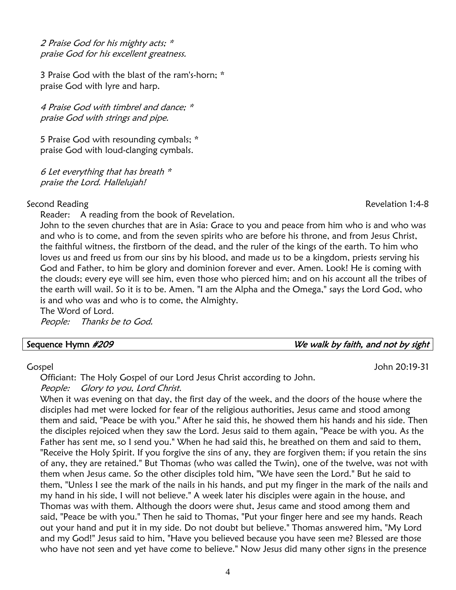2 Praise God for his mighty acts; \* praise God for his excellent greatness.

3 Praise God with the blast of the ram's-horn; \* praise God with lyre and harp.

4 Praise God with timbrel and dance; \* praise God with strings and pipe.

5 Praise God with resounding cymbals; \* praise God with loud-clanging cymbals.

6 Let everything that has breath \* praise the Lord. Hallelujah!

Reader: A reading from the book of Revelation.

John to the seven churches that are in Asia: Grace to you and peace from him who is and who was and who is to come, and from the seven spirits who are before his throne, and from Jesus Christ, the faithful witness, the firstborn of the dead, and the ruler of the kings of the earth. To him who loves us and freed us from our sins by his blood, and made us to be a kingdom, priests serving his God and Father, to him be glory and dominion forever and ever. Amen. Look! He is coming with the clouds; every eye will see him, even those who pierced him; and on his account all the tribes of the earth will wail. So it is to be. Amen. "I am the Alpha and the Omega," says the Lord God, who is and who was and who is to come, the Almighty.

The Word of Lord. People: Thanks be to God.

### Sequence Hymn  $\#209$  Sequence Hymn  $\#209$

Officiant: The Holy Gospel of our Lord Jesus Christ according to John. People: Glory to you, Lord Christ.

When it was evening on that day, the first day of the week, and the doors of the house where the disciples had met were locked for fear of the religious authorities, Jesus came and stood among them and said, "Peace be with you." After he said this, he showed them his hands and his side. Then the disciples rejoiced when they saw the Lord. Jesus said to them again, "Peace be with you. As the Father has sent me, so I send you." When he had said this, he breathed on them and said to them, "Receive the Holy Spirit. If you forgive the sins of any, they are forgiven them; if you retain the sins of any, they are retained." But Thomas (who was called the Twin), one of the twelve, was not with them when Jesus came. So the other disciples told him, "We have seen the Lord." But he said to them, "Unless I see the mark of the nails in his hands, and put my finger in the mark of the nails and my hand in his side, I will not believe." A week later his disciples were again in the house, and Thomas was with them. Although the doors were shut, Jesus came and stood among them and said, "Peace be with you." Then he said to Thomas, "Put your finger here and see my hands. Reach out your hand and put it in my side. Do not doubt but believe." Thomas answered him, "My Lord and my God!" Jesus said to him, "Have you believed because you have seen me? Blessed are those who have not seen and yet have come to believe." Now Jesus did many other signs in the presence

Second Reading Revelation 1:4-8

Gospel John 20:19-31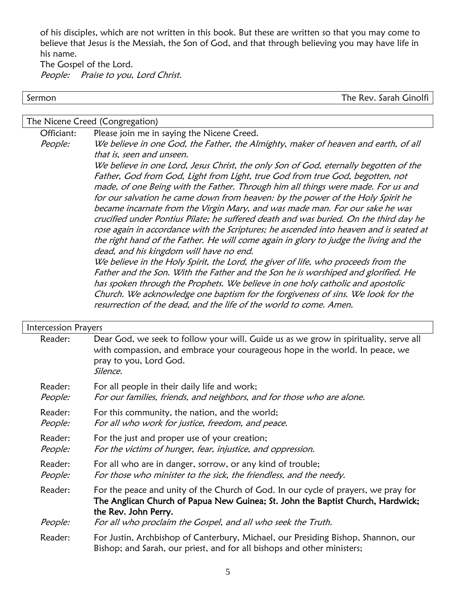of his disciples, which are not written in this book. But these are written so that you may come to believe that Jesus is the Messiah, the Son of God, and that through believing you may have life in his name.

The Gospel of the Lord. People: Praise to you, Lord Christ.

Sermon **The Rev. Sarah Ginolfi** 

| The Nicene Creed (Congregation) |
|---------------------------------|
|---------------------------------|

| Officiant: | Please join me in saying the Nicene Creed.                                             |
|------------|----------------------------------------------------------------------------------------|
| People:    | We believe in one God, the Father, the Almighty, maker of heaven and earth, of all     |
|            | that is, seen and unseen.                                                              |
|            | We believe in one Lord, Jesus Christ, the only Son of God, eternally begotten of the   |
|            | Father, God from God, Light from Light, true God from true God, begotten, not          |
|            | made, of one Being with the Father. Through him all things were made. For us and       |
|            | for our salvation he came down from heaven: by the power of the Holy Spirit he         |
|            | became incarnate from the Virgin Mary, and was made man. For our sake he was           |
|            | crucified under Pontius Pilate; he suffered death and was buried. On the third day he  |
|            | rose again in accordance with the Scriptures; he ascended into heaven and is seated at |
|            | the right hand of the Father. He will come again in glory to judge the living and the  |
|            | dead, and his kingdom will have no end.                                                |
|            | We believe in the Holy Spirit, the Lord, the giver of life, who proceeds from the      |
|            | Father and the Son. With the Father and the Son he is worshiped and glorified. He      |
|            | has spoken through the Prophets. We believe in one holy catholic and apostolic         |
|            | Church. We acknowledge one baptism for the forgiveness of sins. We look for the        |
|            | resurrection of the dead, and the life of the world to come. Amen.                     |

| Intercession Prayers                                                                                                                                                                                                                                                                |                                                                                                                                                                                                             |  |
|-------------------------------------------------------------------------------------------------------------------------------------------------------------------------------------------------------------------------------------------------------------------------------------|-------------------------------------------------------------------------------------------------------------------------------------------------------------------------------------------------------------|--|
| Reader:                                                                                                                                                                                                                                                                             | Dear God, we seek to follow your will. Guide us as we grow in spirituality, serve all<br>with compassion, and embrace your courageous hope in the world. In peace, we<br>pray to you, Lord God.<br>Silence. |  |
| For all people in their daily life and work;<br>Reader:<br>For our families, friends, and neighbors, and for those who are alone.<br>People:                                                                                                                                        |                                                                                                                                                                                                             |  |
| Reader:<br>People:                                                                                                                                                                                                                                                                  | For this community, the nation, and the world;<br>For all who work for justice, freedom, and peace.                                                                                                         |  |
| Reader:<br>People:                                                                                                                                                                                                                                                                  | For the just and proper use of your creation;<br>For the victims of hunger, fear, injustice, and oppression.                                                                                                |  |
| Reader:<br>People:                                                                                                                                                                                                                                                                  | For all who are in danger, sorrow, or any kind of trouble;<br>For those who minister to the sick, the friendless, and the needy.                                                                            |  |
| Reader:<br>For the peace and unity of the Church of God. In our cycle of prayers, we pray for<br>The Anglican Church of Papua New Guinea; St. John the Baptist Church, Hardwick;<br>the Rev. John Perry.<br>For all who proclaim the Gospel, and all who seek the Truth.<br>People: |                                                                                                                                                                                                             |  |
| Reader:                                                                                                                                                                                                                                                                             | For Justin, Archbishop of Canterbury, Michael, our Presiding Bishop, Shannon, our<br>Bishop; and Sarah, our priest, and for all bishops and other ministers;                                                |  |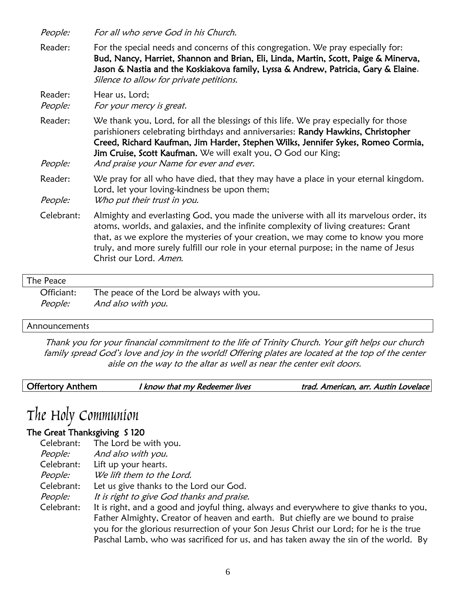People: For all who serve God in his Church. Reader: For the special needs and concerns of this congregation. We pray especially for: Bud, Nancy, Harriet, Shannon and Brian, Eli, Linda, Martin, Scott, Paige & Minerva, Jason & Nastia and the Koskiakova family, Lyssa & Andrew, Patricia, Gary & Elaine. Silence to allow for private petitions. Reader: Hear us, Lord; People: For your mercy is great. Reader: We thank you, Lord, for all the blessings of this life. We pray especially for those parishioners celebrating birthdays and anniversaries: Randy Hawkins, Christopher Creed, Richard Kaufman, Jim Harder, Stephen Wilks, Jennifer Sykes, Romeo Cormia, Jim Cruise, Scott Kaufman. We will exalt you, O God our King; People: And praise your Name for ever and ever. Reader: We pray for all who have died, that they may have a place in your eternal kingdom. Lord, let your loving-kindness be upon them; People: Who put their trust in you. Celebrant: Almighty and everlasting God, you made the universe with all its marvelous order, its atoms, worlds, and galaxies, and the infinite complexity of living creatures: Grant that, as we explore the mysteries of your creation, we may come to know you more truly, and more surely fulfill our role in your eternal purpose; in the name of Jesus Christ our Lord. Amen.

| The Peace      |                                           |
|----------------|-------------------------------------------|
| Officiant:     | The peace of the Lord be always with you. |
| <i>People:</i> | And also with you.                        |

### Announcements

Thank you for your financial commitment to the life of Trinity Church. Your gift helps our church family spread God's love and joy in the world! Offering plates are located at the top of the center aisle on the way to the altar as well as near the center exit doors.

| <b>Offertory Anthem</b><br>I know that my Redeemer lives | trad. American, arr. Austin Lovelace |
|----------------------------------------------------------|--------------------------------------|
|----------------------------------------------------------|--------------------------------------|

## The Holy Communion

### The Great Thanksgiving S 120

| Celebrant:     | The Lord be with you.                                                                   |  |
|----------------|-----------------------------------------------------------------------------------------|--|
| <i>People:</i> | And also with you.                                                                      |  |
| Celebrant:     | Lift up your hearts.                                                                    |  |
| People:        | We lift them to the Lord.                                                               |  |
| Celebrant:     | Let us give thanks to the Lord our God.                                                 |  |
| People:        | It is right to give God thanks and praise.                                              |  |
| Celebrant:     | It is right, and a good and joyful thing, always and everywhere to give thanks to you,  |  |
|                | Father Almighty, Creator of heaven and earth. But chiefly are we bound to praise        |  |
|                | you for the glorious resurrection of your Son Jesus Christ our Lord; for he is the true |  |
|                | Paschal Lamb, who was sacrificed for us, and has taken away the sin of the world. By    |  |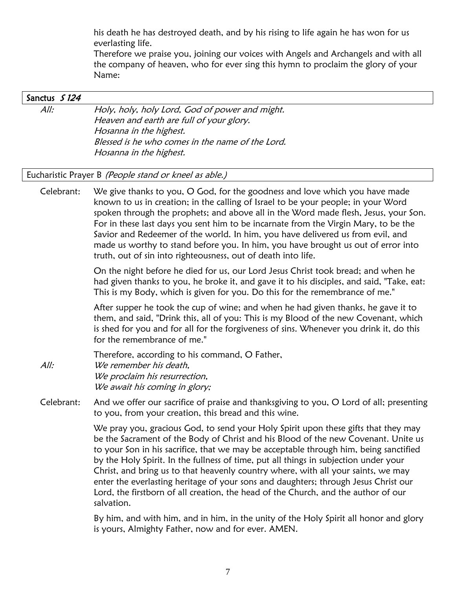his death he has destroyed death, and by his rising to life again he has won for us everlasting life.

Therefore we praise you, joining our voices with Angels and Archangels and with all the company of heaven, who for ever sing this hymn to proclaim the glory of your Name:

#### Sanctus S 124

All: Holy, holy, holy Lord, God of power and might. Heaven and earth are full of your glory. Hosanna in the highest. Blessed is he who comes in the name of the Lord. Hosanna in the highest.

Eucharistic Prayer B (People stand or kneel as able.)

Celebrant: We give thanks to you, O God, for the goodness and love which you have made known to us in creation; in the calling of Israel to be your people; in your Word spoken through the prophets; and above all in the Word made flesh, Jesus, your Son. For in these last days you sent him to be incarnate from the Virgin Mary, to be the Savior and Redeemer of the world. In him, you have delivered us from evil, and made us worthy to stand before you. In him, you have brought us out of error into truth, out of sin into righteousness, out of death into life.

> On the night before he died for us, our Lord Jesus Christ took bread; and when he had given thanks to you, he broke it, and gave it to his disciples, and said, "Take, eat: This is my Body, which is given for you. Do this for the remembrance of me."

> After supper he took the cup of wine; and when he had given thanks, he gave it to them, and said, "Drink this, all of you: This is my Blood of the new Covenant, which is shed for you and for all for the forgiveness of sins. Whenever you drink it, do this for the remembrance of me."

Therefore, according to his command, O Father, All: We remember his death, We proclaim his resurrection, We await his coming in glory;

Celebrant: And we offer our sacrifice of praise and thanksgiving to you, O Lord of all; presenting to you, from your creation, this bread and this wine.

> We pray you, gracious God, to send your Holy Spirit upon these gifts that they may be the Sacrament of the Body of Christ and his Blood of the new Covenant. Unite us to your Son in his sacrifice, that we may be acceptable through him, being sanctified by the Holy Spirit. In the fullness of time, put all things in subjection under your Christ, and bring us to that heavenly country where, with all your saints, we may enter the everlasting heritage of your sons and daughters; through Jesus Christ our Lord, the firstborn of all creation, the head of the Church, and the author of our salvation.

> By him, and with him, and in him, in the unity of the Holy Spirit all honor and glory is yours, Almighty Father, now and for ever. AMEN.